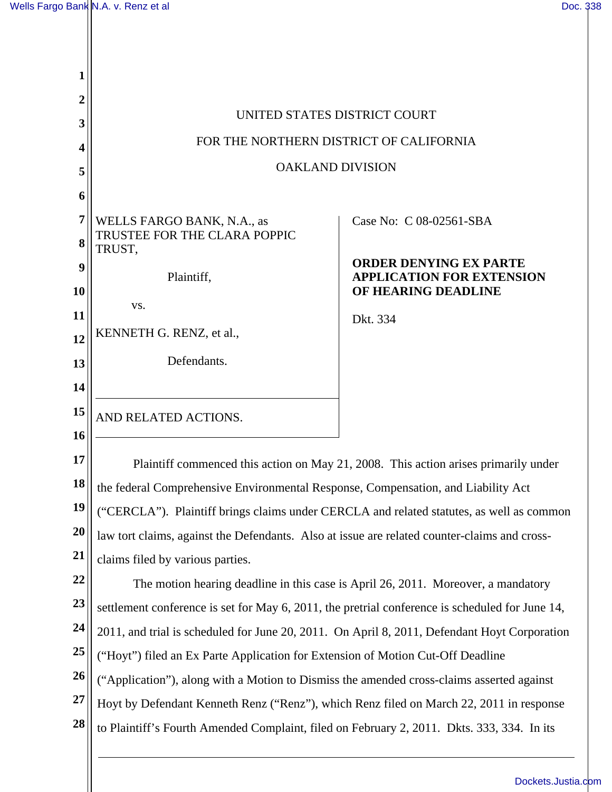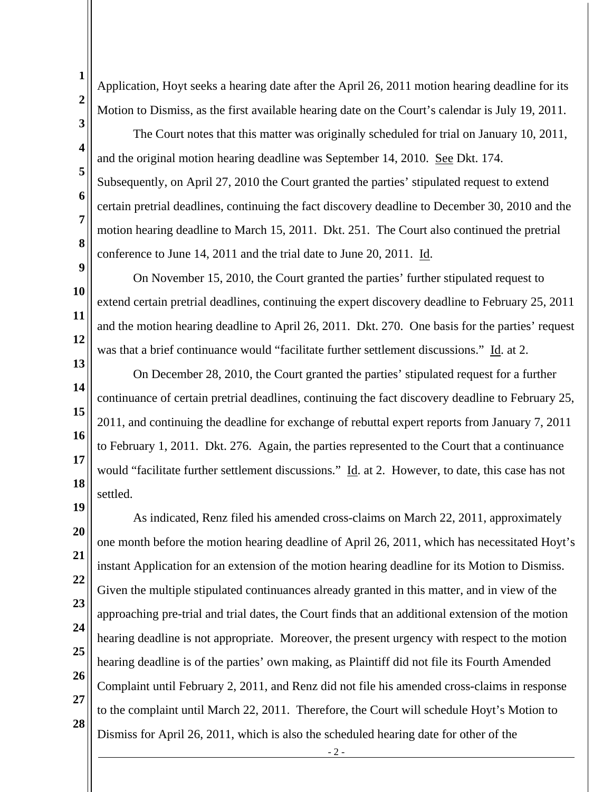**5** 

**6** 

**7** 

**8** 

**9** 

**10** 

**11** 

**12** 

Application, Hoyt seeks a hearing date after the April 26, 2011 motion hearing deadline for its Motion to Dismiss, as the first available hearing date on the Court's calendar is July 19, 2011.

The Court notes that this matter was originally scheduled for trial on January 10, 2011, and the original motion hearing deadline was September 14, 2010. See Dkt. 174. Subsequently, on April 27, 2010 the Court granted the parties' stipulated request to extend certain pretrial deadlines, continuing the fact discovery deadline to December 30, 2010 and the motion hearing deadline to March 15, 2011. Dkt. 251. The Court also continued the pretrial conference to June 14, 2011 and the trial date to June 20, 2011. Id.

On November 15, 2010, the Court granted the parties' further stipulated request to extend certain pretrial deadlines, continuing the expert discovery deadline to February 25, 2011 and the motion hearing deadline to April 26, 2011. Dkt. 270. One basis for the parties' request was that a brief continuance would "facilitate further settlement discussions." Id. at 2.

**13 14 15 16 17 18**  On December 28, 2010, the Court granted the parties' stipulated request for a further continuance of certain pretrial deadlines, continuing the fact discovery deadline to February 25, 2011, and continuing the deadline for exchange of rebuttal expert reports from January 7, 2011 to February 1, 2011. Dkt. 276. Again, the parties represented to the Court that a continuance would "facilitate further settlement discussions." Id. at 2. However, to date, this case has not settled.

**19 20 21 22 23 24 25 26 27 28**  As indicated, Renz filed his amended cross-claims on March 22, 2011, approximately one month before the motion hearing deadline of April 26, 2011, which has necessitated Hoyt's instant Application for an extension of the motion hearing deadline for its Motion to Dismiss. Given the multiple stipulated continuances already granted in this matter, and in view of the approaching pre-trial and trial dates, the Court finds that an additional extension of the motion hearing deadline is not appropriate. Moreover, the present urgency with respect to the motion hearing deadline is of the parties' own making, as Plaintiff did not file its Fourth Amended Complaint until February 2, 2011, and Renz did not file his amended cross-claims in response to the complaint until March 22, 2011. Therefore, the Court will schedule Hoyt's Motion to Dismiss for April 26, 2011, which is also the scheduled hearing date for other of the

- 2 -